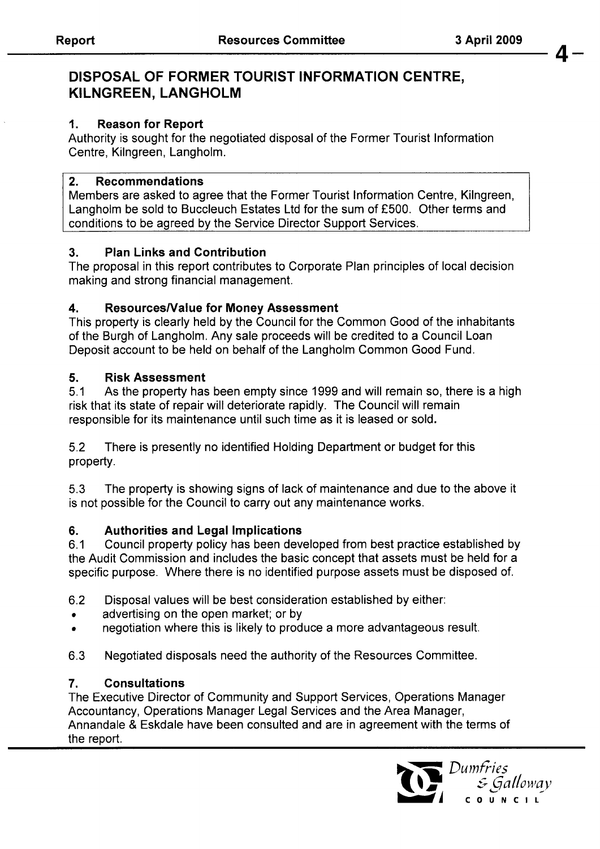**4-** 

## **DISPOSAL OF FORMER TOURIST INFORMATION CENTRE, KILNGREEN, LANGHOLM**

### **1. Reason for Report**

Authority is sought for the negotiated disposal of the Former Tourist Information Centre, Kilngreen, Langholm.

#### **2. Recommendations**

Members are asked to agree that the Former Tourist Information Centre, Kilngreen, Langholm be sold to Buccleuch Estates Ltd for the sum of £500. Other terms and conditions to be agreed by the Service Director Support Services.

### **3. Plan Links and Contribution**

The proposal in this report contributes to Corporate Plan principles of local decision making and strong financial management.

### **4. ResourcesNalue for Money Assessment**

This property is clearly held by the Council for the Common Good of the inhabitants of the Burgh of Langholm. Any sale proceeds will be credited to a Council Loan Deposit account to be held on behalf of the Langholm Common Good Fund.

### **5. Risk Assessment**

5.1 risk that its state of repair will deteriorate rapidly. The Council will remain responsible for its maintenance until such time as it is leased or sold. As the property has been empty since 1999 and will remain so, there is a high

5.2 property . There is presently no identified Holding Department or budget for this

5.3 is not possible for the Council to carry out any maintenance works. The property is showing signs of lack of maintenance and due to the above it

### **6. Authorities and Legal Implications**

6.1 Council property policy has been developed from best practice established by the Audit Commission and includes the basic concept that assets must be held for a specific purpose. Where there is no identified purpose assets must be disposed of.

- 6.2 Disposal values will be best consideration established by either:
- advertising on the open market; or by
- negotiation where this is likely to produce a more advantageous result.  $\bullet$
- **6.3** Negotiated disposals need the authority of the Resources Committee.

### **7. Consultations**

The Executive Director of Community and Support Services, Operations Manager Accountancy, Operations Manager Legal Services and the Area Manager, Annandale & Eskdale have been consulted and are in agreement with the terms of the report.

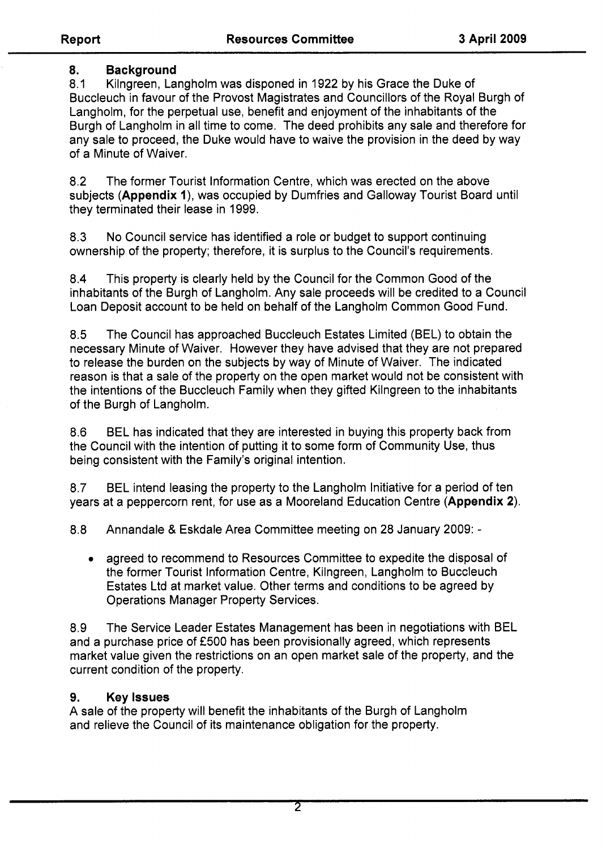## **8. Background**

8.1 Buccleuch in favour of the Provost Magistrates and Councillors of the Royal Burgh of Langholm, for the perpetual use, benefit and enjoyment of the inhabitants of the Burgh of Langholm in all time to come. The deed prohibits any sale and therefore for any sale to proceed, the Duke would have to waive the provision in the deed by way of a Minute of Waiver. Kilngreen, Langholm was disponed in 1922 by his Grace the Duke of

8.2 The former Tourist Information Centre, which was erected on the above subjects **(Appendix** I), was occupied by Dumfries and Galloway Tourist Board until they terminated their lease in 1999.

8.3 ownership of the property; therefore, it is surplus to the Council's requirements. No Council service has identified a role or budget to support continuing

8.4 This property is clearly held by the Council for the Common Good of the inhabitants of the Burgh of Langholm. Any sale proceeds will be credited to a Council Loan Deposit account to be held on behalf of the Langholm Common Good Fund.

8.5 necessary Minute of Waiver. However they have advised that they are not prepared to release the burden on the subjects by way of Minute of Waiver. The indicated reason is that a sale of the property on the open market would not be consistent with the intentions of the Buccleuch Family when they gifted Kilngreen to the inhabitants of the Burgh of Langholm. The Council has approached Buccleuch Estates Limited (BEL) to obtain the

8.6 the Council with the intention of putting it to some form of Community Use, thus being consistent with the Family's original intention. BEL has indicated that they are interested in buying this property back from

8.7 years at a peppercorn rent, for use as a Mooreland Education Centre **(Appendix 2).**  BEL intend leasing the property to the Langholm Initiative for a period of ten

8.8 Annandale & Eskdale Area Committee meeting on 28 January 2009: -

• agreed to recommend to Resources Committee to expedite the disposal of the former Tourist Information Centre, Kilngreen, Langholm to Buccleuch Estates Ltd at market value. Other terms and conditions to be agreed by Operations Manager Property Services.

8.9 The Service Leader Estates Management has been in negotiations with BEL and a purchase price of £500 has been provisionally agreed, which represents market value given the restrictions on an open market sale of the property, and the current condition of the property.

## **9. Keylssues**

A sale of the property will benefit the inhabitants of the Burgh of Langholm and relieve the Council of its maintenance obligation for the property.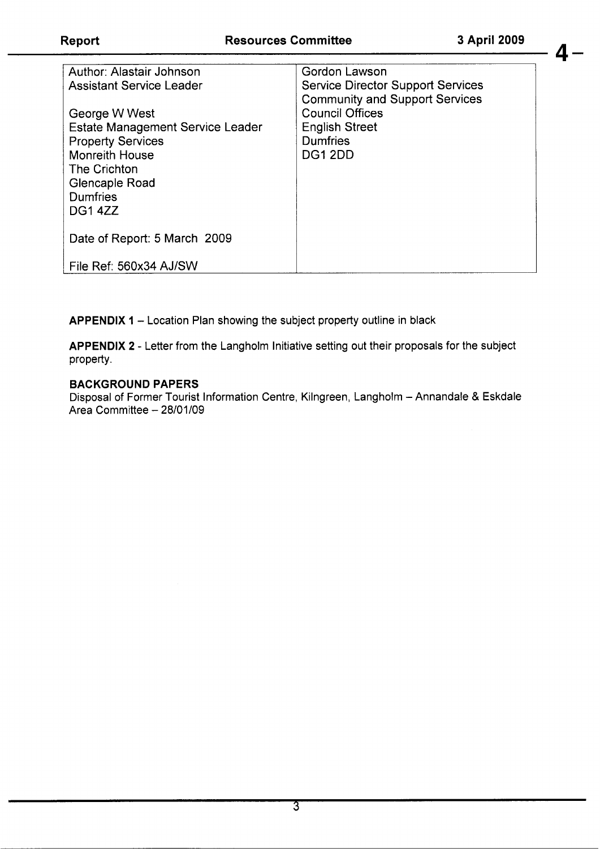**4-** 

| Author: Alastair Johnson                | Gordon Lawson                            |
|-----------------------------------------|------------------------------------------|
| <b>Assistant Service Leader</b>         | <b>Service Director Support Services</b> |
|                                         | <b>Community and Support Services</b>    |
| George W West                           | <b>Council Offices</b>                   |
| <b>Estate Management Service Leader</b> | <b>English Street</b>                    |
| <b>Property Services</b>                | Dumfries                                 |
| <b>Monreith House</b>                   | <b>DG1 2DD</b>                           |
| The Crichton                            |                                          |
| Glencaple Road                          |                                          |
| Dumfries                                |                                          |
| DG14ZZ                                  |                                          |
|                                         |                                          |
| Date of Report: 5 March 2009            |                                          |
|                                         |                                          |
| File Ref: 560x34 AJ/SW                  |                                          |
|                                         |                                          |

**APPENDIX 1 - Location Plan showing the subject property outline in black** 

**APPENDIX 2** - Letter from the Langholm Initiative setting out their proposals for the subject property.

#### **BACKGROUND PAPERS**

Disposal of Former Tourist Information Centre, Kilngreen, Langholm - Annandale & Eskdale Area Committee - 28/01/09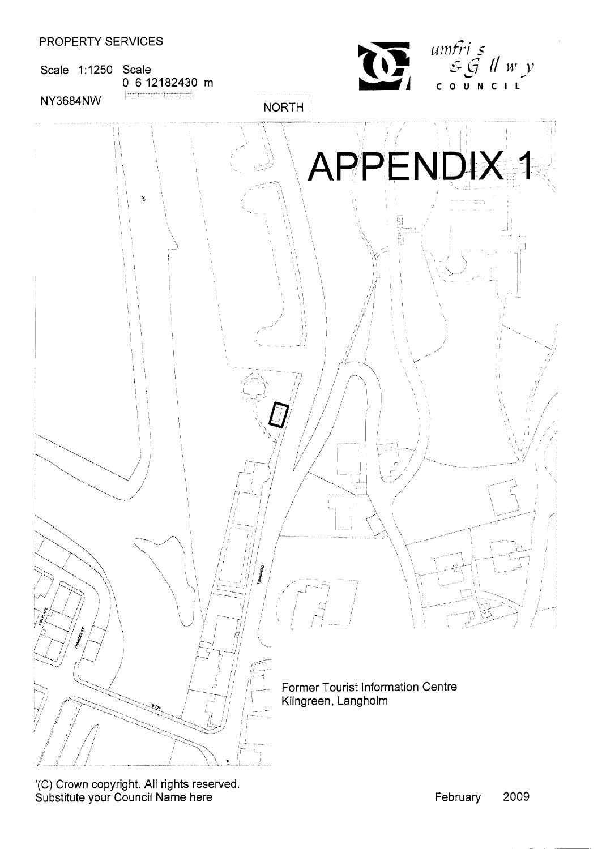



'(C) Crown copyright. **All** rights reserved. Substitute your Council Name here **February 2009**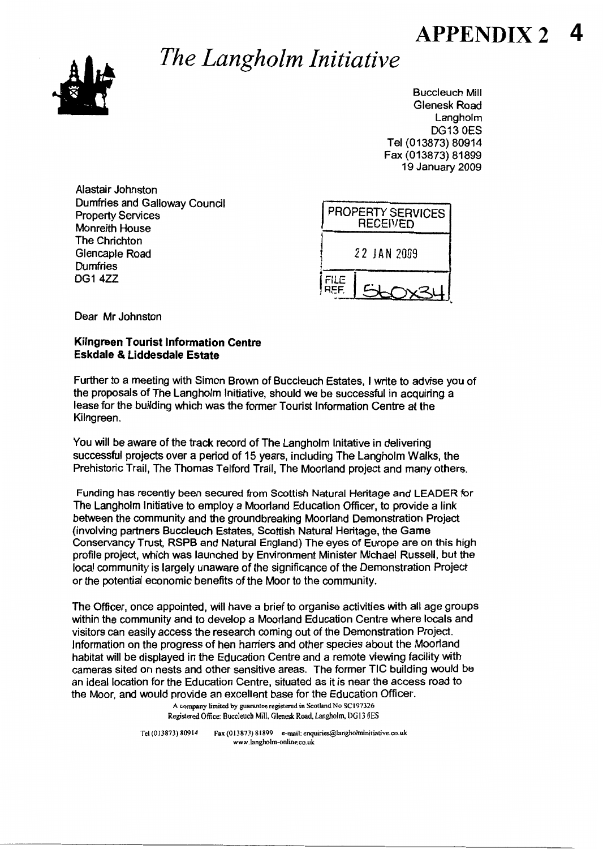# **APPENDIX 2**



# *The Langholm Initiative*

Buccleuch Mill Glenesk Road Langholm DG13 **OES**  Tel(Ol3873) 80914 Fax (013873) 81899 19 January 2009

Alastair Johnston Dumfries and Galloway Council Property Services Monreith House The Chrichton Glencaple Road **Dumfries** DG14ZZ



Dear Mr Johnston

#### **Kilngreen Tourist Information Centre Eskdale & Liddesdale Estate**

Further to a meeting with Simon Brown of Buccleuch Estates, I write to advise you of the proposals of The Langholm Initiative, should we be successful in acquiring a lease for the building which was the former Tourist Information Centre at the Kilngreen.

You will be aware of the track record of The Langholm lnitative in delivering successful projects over a period of 15 years, including The Langholm Walks, the Prehistoric Trail, The Thomas Telford Trail, The Moorland project and many others.

Funding has recently been secured from Scottish Natural Heritage and LEADER for The Langholm Initiative to employ a Moorland Education Officer, to provide a link between the community and the groundbreaking Moorland Demonstration Project (involving partners Buccleuch Estates, **Scottish** Natural Heritage, the Game Conservancy Trust, RSPB and Natural England) The eyes of Europe are on this high profile project, which was launched by Environment Minister Michael Russell, but the local community is largely unaware of the significance of the Demonstration Project or the potential economic benefits of the Moor to the community.

The Officer, once appointed, will have a brief to organise activities with all age groups within the community and to develop a Moorland Education Centre where locals and visitors can easily access the research coming out of the Demonstration Project. Information on the progress of hen harriers and other species about the Moorland habitat will be displayed in the Education Centre and a remote viewing facility with cameras sited on nests and other sensitive areas. The former TIC building would be an ideal location for the Education Centre, situated as it is near the access road to the Moor, and would provide an excellent base for the Education Officer.

**A company limited by** *guarantee* **registered in Scotland No SC197326 Registered** Office **Buccleuch Mill.** Glenesk **Road Langholm DG13 OES** 

Tel (013873) 80914 Fax (013873) 81899 e-mail: enquiries@langholminitiative.co.uk **www.langholm-onlme.co** *uk*